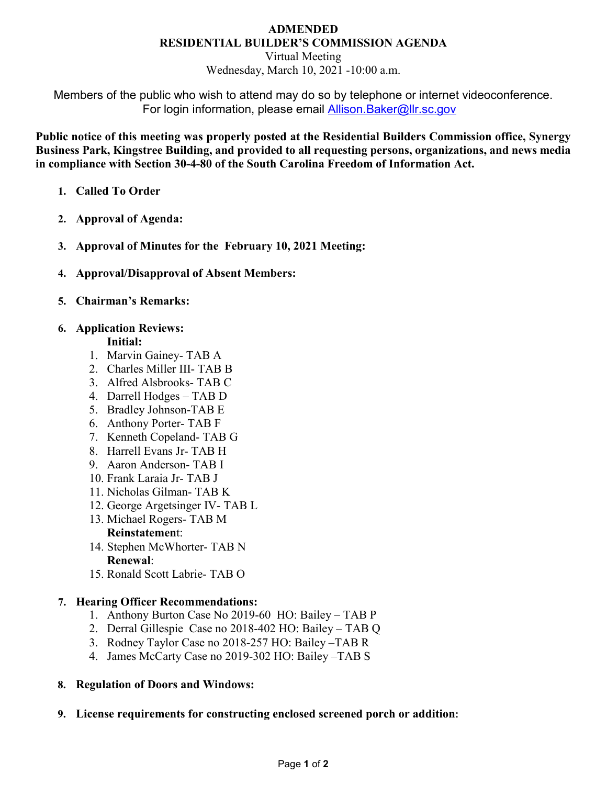### **ADMENDED RESIDENTIAL BUILDER'S COMMISSION AGENDA**

Virtual Meeting Wednesday, March 10, 2021 -10:00 a.m.

Members of the public who wish to attend may do so by telephone or internet videoconference. For login information, please email [Allison.Baker@llr.sc.gov](mailto:Allison.Baker@llr.sc.gov)

**Public notice of this meeting was properly posted at the Residential Builders Commission office, Synergy Business Park, Kingstree Building, and provided to all requesting persons, organizations, and news media in compliance with Section 30-4-80 of the South Carolina Freedom of Information Act.**

- **1. Called To Order**
- **2. Approval of Agenda:**
- **3. Approval of Minutes for the February 10, 2021 Meeting:**
- **4. Approval/Disapproval of Absent Members:**
- **5. Chairman's Remarks:**
- **6. Application Reviews:**

## **Initial:**

- 1. Marvin Gainey- TAB A
- 2. Charles Miller III- TAB B
- 3. Alfred Alsbrooks- TAB C
- 4. Darrell Hodges TAB D
- 5. Bradley Johnson-TAB E
- 6. Anthony Porter- TAB F
- 7. Kenneth Copeland- TAB G
- 8. Harrell Evans Jr- TAB H
- 9. Aaron Anderson- TAB I
- 10. Frank Laraia Jr- TAB J
- 11. Nicholas Gilman- TAB K
- 12. George Argetsinger IV- TAB L
- 13. Michael Rogers- TAB M

# **Reinstatemen**t:

- 14. Stephen McWhorter- TAB N **Renewal**:
- 15. Ronald Scott Labrie- TAB O

# **7. Hearing Officer Recommendations:**

- 1. Anthony Burton Case No 2019-60 HO: Bailey TAB P
- 2. Derral Gillespie Case no 2018-402 HO: Bailey TAB Q
- 3. Rodney Taylor Case no 2018-257 HO: Bailey –TAB R
- 4. James McCarty Case no 2019-302 HO: Bailey –TAB S

# **8. Regulation of Doors and Windows:**

**9. License requirements for constructing enclosed screened porch or addition:**